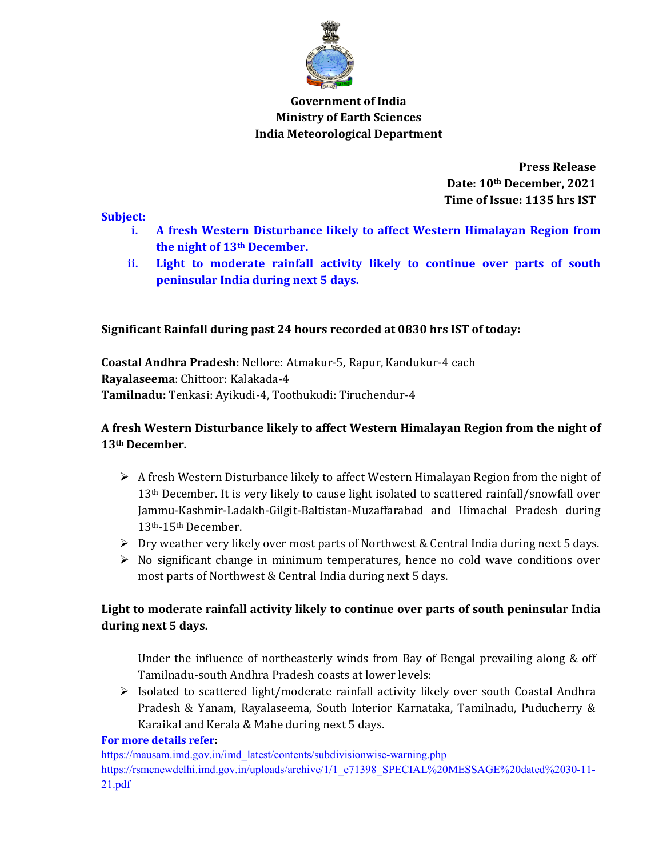

India India Meteorological Department Government of India Ministry of Earth Sciences

> Date: 10<sup>th</sup> December, 2021 Time of Issue: 1135 hrs IST Press Release

Subject:

- i. A fresh Western Disturbance likely to affect Western Himalayan Region from the night of 13th December.
- ii. Light to moderate rainfall activity likely to continue over parts of south<br>peninsular India during next 5 days.<br>ificant Rainfall during past 24 hours recorded at 0830 hrs IST of today: peninsular India during next 5 days. ue over parts of sou $\Gamma$  of today:<br>ch<br>Region from the night

### Significant Rainfall during past 24 hours recorded at 0830 hrs IST of today:

Coastal Andhra Pradesh: Nellore: Atmakur-5, Rapur, Kandukur-4 each Rayalaseema: Chittoor: Kalakada-4 **Tamilnadu:** Tenkasi: Ayikudi-4, Toothukudi: Tiruchendur-4

## A fresh Western Disturbance likely to affect Western Himalayan Region from the night of 13th December.

- $\triangleright$  A fresh Western Disturbance likely to affect Western Himalayan Region from the night of 13<sup>th</sup> December. It is very likely to cause light isolated to scattered rainfall/snowfall over Jammu-Kashmir-Ladakh-Gilgit-Baltistan-Muzaffarabad and Himachal Pradesh during 13th-15th December.
- Dry weather very likely over most parts of Northwest & Central India during next 5 days.
- ► Dry weather very likely over most parts of Northwest & Central India during next 5 days.<br>► No significant change in minimum temperatures, hence no cold wave conditions over most parts of Northwest & Central India during next 5 days.

# Light to moderate rainfall activity likely to continue over parts of south peninsular peninsular Light moderate India during next 5 days.

Under the influence of northeasterly winds from Bay of Bengal prevailing along & off Tamilnadu-south Andhra south Andhra Pradesh coasts at lower levels:

> Isolated to scattered light/moderate rainfall activity likely over south Coastal Andhra Pradesh & Yanam, Rayalaseema, South Interior Karnataka, Tamilnadu, Puducherry & Karaikal and Kerala & Mahe during next 5 days.

#### For more details refer:

https://mausam.imd.gov.in/imd\_latest/contents/subdivisionwise https://mausam.imd.gov.in/imd\_latest/contents/subdivisionwise-warning.php https://rsmcnewdelhi.imd.gov.in/uploads/archive/1/1\_e71398\_SPECIAL%20MESSAGE%20dated%2030-11-21.pdf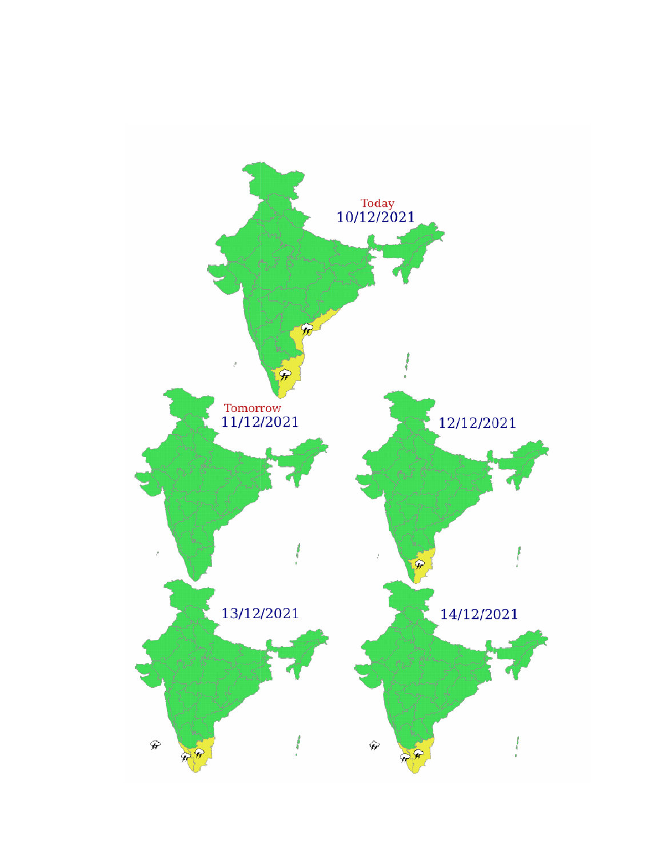